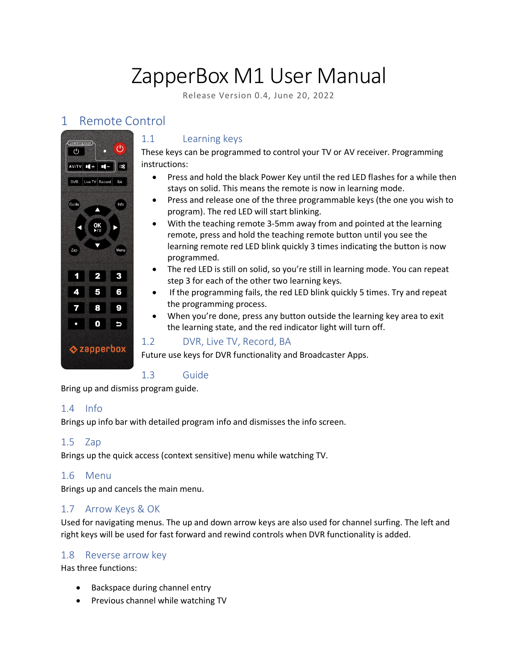# ZapperBox M1 User Manual

Release Version 0.4, June 20, 2022

## 1 Remote Control



## 1.1 Learning keys

These keys can be programmed to control your TV or AV receiver. Programming instructions:

- Press and hold the black Power Key until the red LED flashes for a while then stays on solid. This means the remote is now in learning mode.
- Press and release one of the three programmable keys (the one you wish to program). The red LED will start blinking.
- With the teaching remote 3-5mm away from and pointed at the learning remote, press and hold the teaching remote button until you see the learning remote red LED blink quickly 3 times indicating the button is now programmed.
- The red LED is still on solid, so you're still in learning mode. You can repeat step 3 for each of the other two learning keys.
- If the programming fails, the red LED blink quickly 5 times. Try and repeat the programming process.
- When you're done, press any button outside the learning key area to exit the learning state, and the red indicator light will turn off.

## 1.2 DVR, Live TV, Record, BA

Future use keys for DVR functionality and Broadcaster Apps.

## 1.3 Guide

Bring up and dismiss program guide.

#### 1.4 Info

Brings up info bar with detailed program info and dismisses the info screen.

#### 1.5 Zap

Brings up the quick access (context sensitive) menu while watching TV.

#### 1.6 Menu

Brings up and cancels the main menu.

## 1.7 Arrow Keys & OK

Used for navigating menus. The up and down arrow keys are also used for channel surfing. The left and right keys will be used for fast forward and rewind controls when DVR functionality is added.

#### 1.8 Reverse arrow key

Has three functions:

- Backspace during channel entry
- Previous channel while watching TV